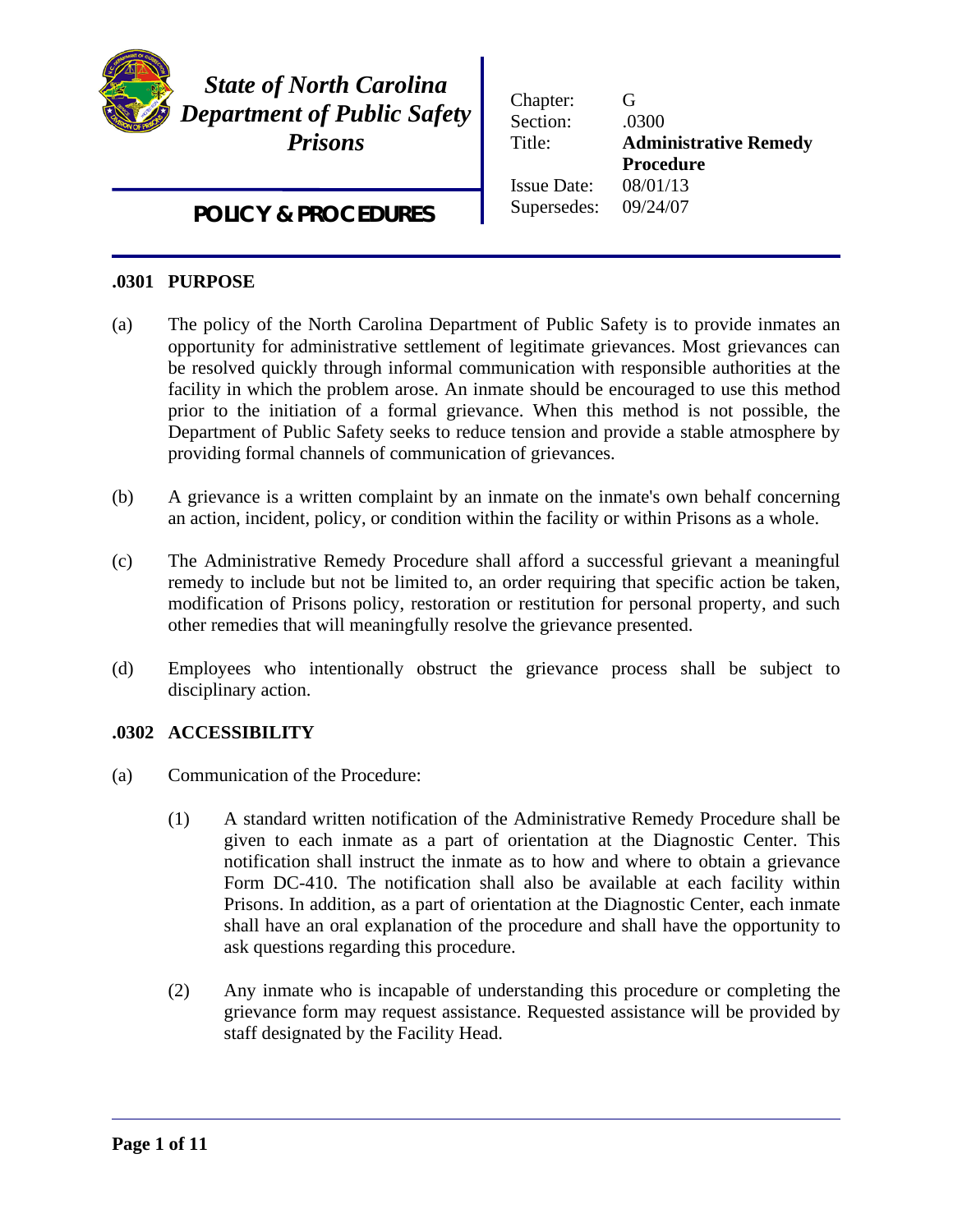

I

*State of North Carolina Department of Public Safety Prisons*

*POLICY & PROCEDURES*

| Chapter:<br>Section: | G<br>.0300                   |
|----------------------|------------------------------|
| Title:               | <b>Administrative Remedy</b> |
|                      | <b>Procedure</b>             |
| <b>Issue Date:</b>   | 08/01/13                     |
| Supersedes:          | 09/24/07                     |
|                      |                              |

## **.0301 PURPOSE**

- (a) The policy of the North Carolina Department of Public Safety is to provide inmates an opportunity for administrative settlement of legitimate grievances. Most grievances can be resolved quickly through informal communication with responsible authorities at the facility in which the problem arose. An inmate should be encouraged to use this method prior to the initiation of a formal grievance. When this method is not possible, the Department of Public Safety seeks to reduce tension and provide a stable atmosphere by providing formal channels of communication of grievances.
- (b) A grievance is a written complaint by an inmate on the inmate's own behalf concerning an action, incident, policy, or condition within the facility or within Prisons as a whole.
- (c) The Administrative Remedy Procedure shall afford a successful grievant a meaningful remedy to include but not be limited to, an order requiring that specific action be taken, modification of Prisons policy, restoration or restitution for personal property, and such other remedies that will meaningfully resolve the grievance presented.
- (d) Employees who intentionally obstruct the grievance process shall be subject to disciplinary action.

# **.0302 ACCESSIBILITY**

- (a) Communication of the Procedure:
	- (1) A standard written notification of the Administrative Remedy Procedure shall be given to each inmate as a part of orientation at the Diagnostic Center. This notification shall instruct the inmate as to how and where to obtain a grievance Form DC-410. The notification shall also be available at each facility within Prisons. In addition, as a part of orientation at the Diagnostic Center, each inmate shall have an oral explanation of the procedure and shall have the opportunity to ask questions regarding this procedure.
	- (2) Any inmate who is incapable of understanding this procedure or completing the grievance form may request assistance. Requested assistance will be provided by staff designated by the Facility Head.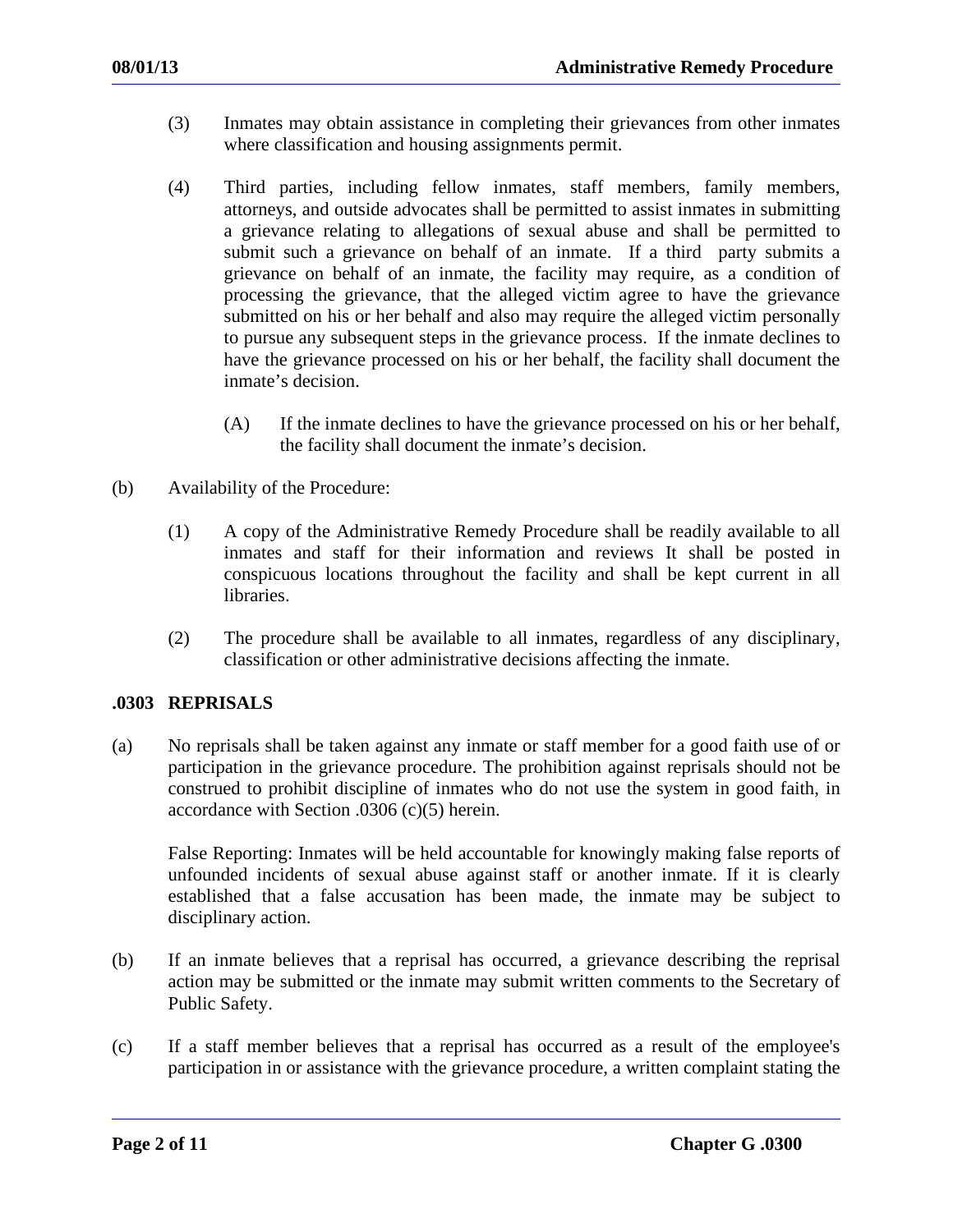- (3) Inmates may obtain assistance in completing their grievances from other inmates where classification and housing assignments permit.
- (4) Third parties, including fellow inmates, staff members, family members, attorneys, and outside advocates shall be permitted to assist inmates in submitting a grievance relating to allegations of sexual abuse and shall be permitted to submit such a grievance on behalf of an inmate. If a third party submits a grievance on behalf of an inmate, the facility may require, as a condition of processing the grievance, that the alleged victim agree to have the grievance submitted on his or her behalf and also may require the alleged victim personally to pursue any subsequent steps in the grievance process. If the inmate declines to have the grievance processed on his or her behalf, the facility shall document the inmate's decision.
	- (A) If the inmate declines to have the grievance processed on his or her behalf, the facility shall document the inmate's decision.
- (b) Availability of the Procedure:
	- (1) A copy of the Administrative Remedy Procedure shall be readily available to all inmates and staff for their information and reviews It shall be posted in conspicuous locations throughout the facility and shall be kept current in all libraries.
	- (2) The procedure shall be available to all inmates, regardless of any disciplinary, classification or other administrative decisions affecting the inmate.

## **.0303 REPRISALS**

(a) No reprisals shall be taken against any inmate or staff member for a good faith use of or participation in the grievance procedure. The prohibition against reprisals should not be construed to prohibit discipline of inmates who do not use the system in good faith, in accordance with Section .0306 (c)(5) herein.

False Reporting: Inmates will be held accountable for knowingly making false reports of unfounded incidents of sexual abuse against staff or another inmate. If it is clearly established that a false accusation has been made, the inmate may be subject to disciplinary action.

- (b) If an inmate believes that a reprisal has occurred, a grievance describing the reprisal action may be submitted or the inmate may submit written comments to the Secretary of Public Safety.
- (c) If a staff member believes that a reprisal has occurred as a result of the employee's participation in or assistance with the grievance procedure, a written complaint stating the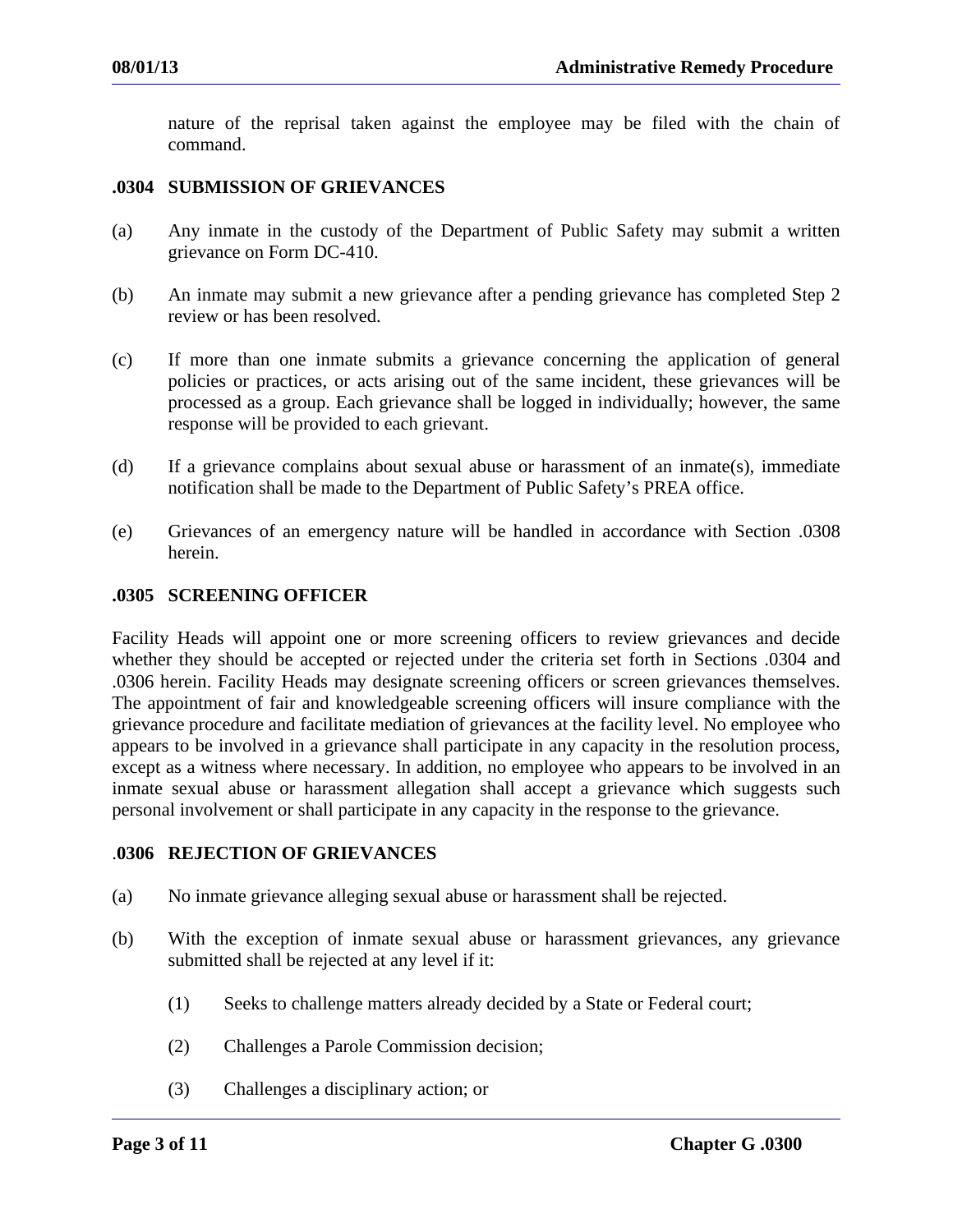nature of the reprisal taken against the employee may be filed with the chain of command.

### **.0304 SUBMISSION OF GRIEVANCES**

- (a) Any inmate in the custody of the Department of Public Safety may submit a written grievance on Form DC-410.
- (b) An inmate may submit a new grievance after a pending grievance has completed Step 2 review or has been resolved.
- (c) If more than one inmate submits a grievance concerning the application of general policies or practices, or acts arising out of the same incident, these grievances will be processed as a group. Each grievance shall be logged in individually; however, the same response will be provided to each grievant.
- (d) If a grievance complains about sexual abuse or harassment of an inmate(s), immediate notification shall be made to the Department of Public Safety's PREA office.
- (e) Grievances of an emergency nature will be handled in accordance with Section .0308 herein.

#### **.0305 SCREENING OFFICER**

Facility Heads will appoint one or more screening officers to review grievances and decide whether they should be accepted or rejected under the criteria set forth in Sections .0304 and .0306 herein. Facility Heads may designate screening officers or screen grievances themselves. The appointment of fair and knowledgeable screening officers will insure compliance with the grievance procedure and facilitate mediation of grievances at the facility level. No employee who appears to be involved in a grievance shall participate in any capacity in the resolution process, except as a witness where necessary. In addition, no employee who appears to be involved in an inmate sexual abuse or harassment allegation shall accept a grievance which suggests such personal involvement or shall participate in any capacity in the response to the grievance.

#### .**0306 REJECTION OF GRIEVANCES**

- (a) No inmate grievance alleging sexual abuse or harassment shall be rejected.
- (b) With the exception of inmate sexual abuse or harassment grievances, any grievance submitted shall be rejected at any level if it:
	- (1) Seeks to challenge matters already decided by a State or Federal court;
	- (2) Challenges a Parole Commission decision;
	- (3) Challenges a disciplinary action; or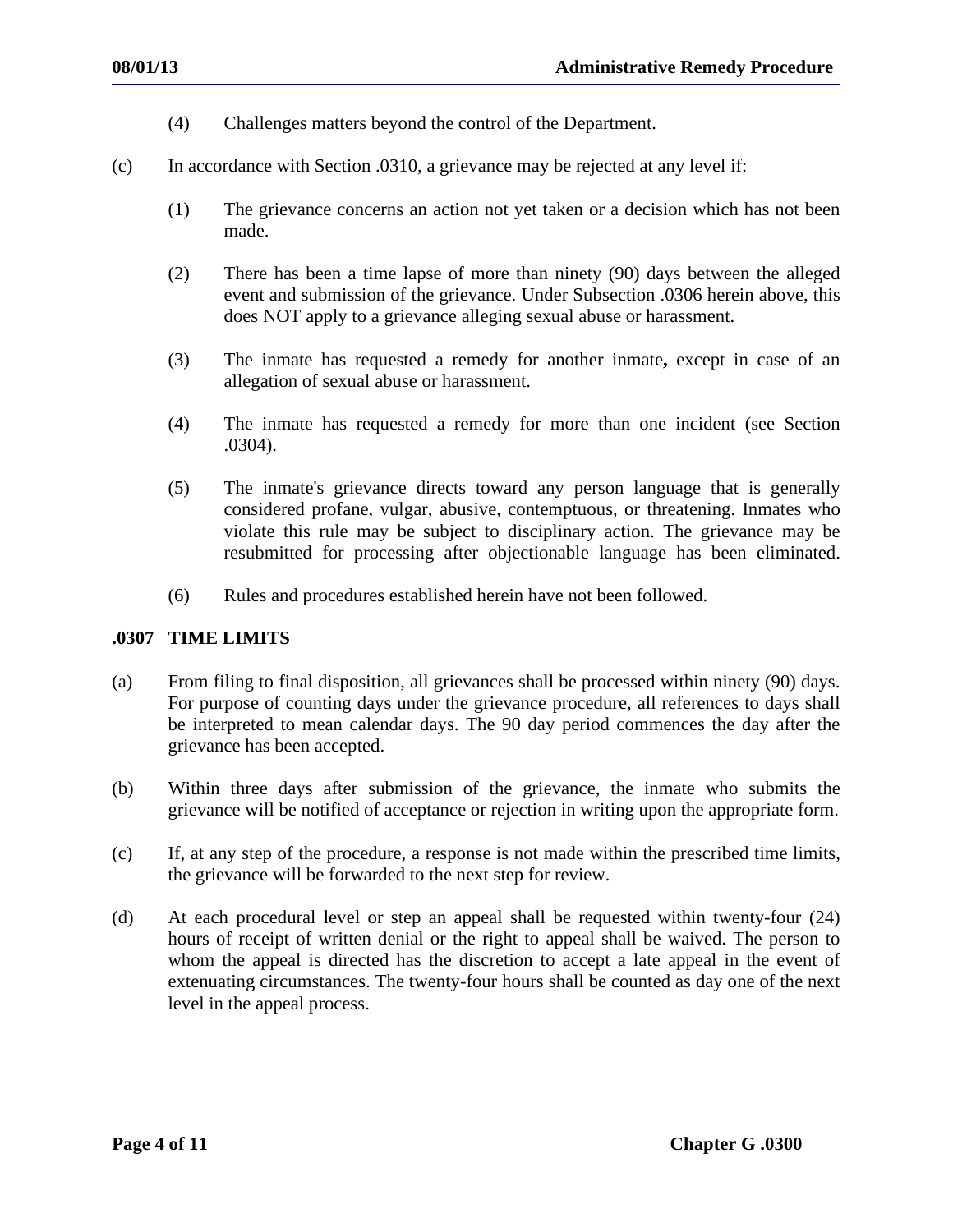- (4) Challenges matters beyond the control of the Department.
- (c) In accordance with Section .0310, a grievance may be rejected at any level if:
	- (1) The grievance concerns an action not yet taken or a decision which has not been made.
	- (2) There has been a time lapse of more than ninety (90) days between the alleged event and submission of the grievance. Under Subsection .0306 herein above, this does NOT apply to a grievance alleging sexual abuse or harassment.
	- (3) The inmate has requested a remedy for another inmate**,** except in case of an allegation of sexual abuse or harassment.
	- (4) The inmate has requested a remedy for more than one incident (see Section .0304).
	- (5) The inmate's grievance directs toward any person language that is generally considered profane, vulgar, abusive, contemptuous, or threatening. Inmates who violate this rule may be subject to disciplinary action. The grievance may be resubmitted for processing after objectionable language has been eliminated.
	- (6) Rules and procedures established herein have not been followed.

## **.0307 TIME LIMITS**

- (a) From filing to final disposition, all grievances shall be processed within ninety (90) days. For purpose of counting days under the grievance procedure, all references to days shall be interpreted to mean calendar days. The 90 day period commences the day after the grievance has been accepted.
- (b) Within three days after submission of the grievance, the inmate who submits the grievance will be notified of acceptance or rejection in writing upon the appropriate form.
- (c) If, at any step of the procedure, a response is not made within the prescribed time limits, the grievance will be forwarded to the next step for review.
- (d) At each procedural level or step an appeal shall be requested within twenty-four (24) hours of receipt of written denial or the right to appeal shall be waived. The person to whom the appeal is directed has the discretion to accept a late appeal in the event of extenuating circumstances. The twenty-four hours shall be counted as day one of the next level in the appeal process.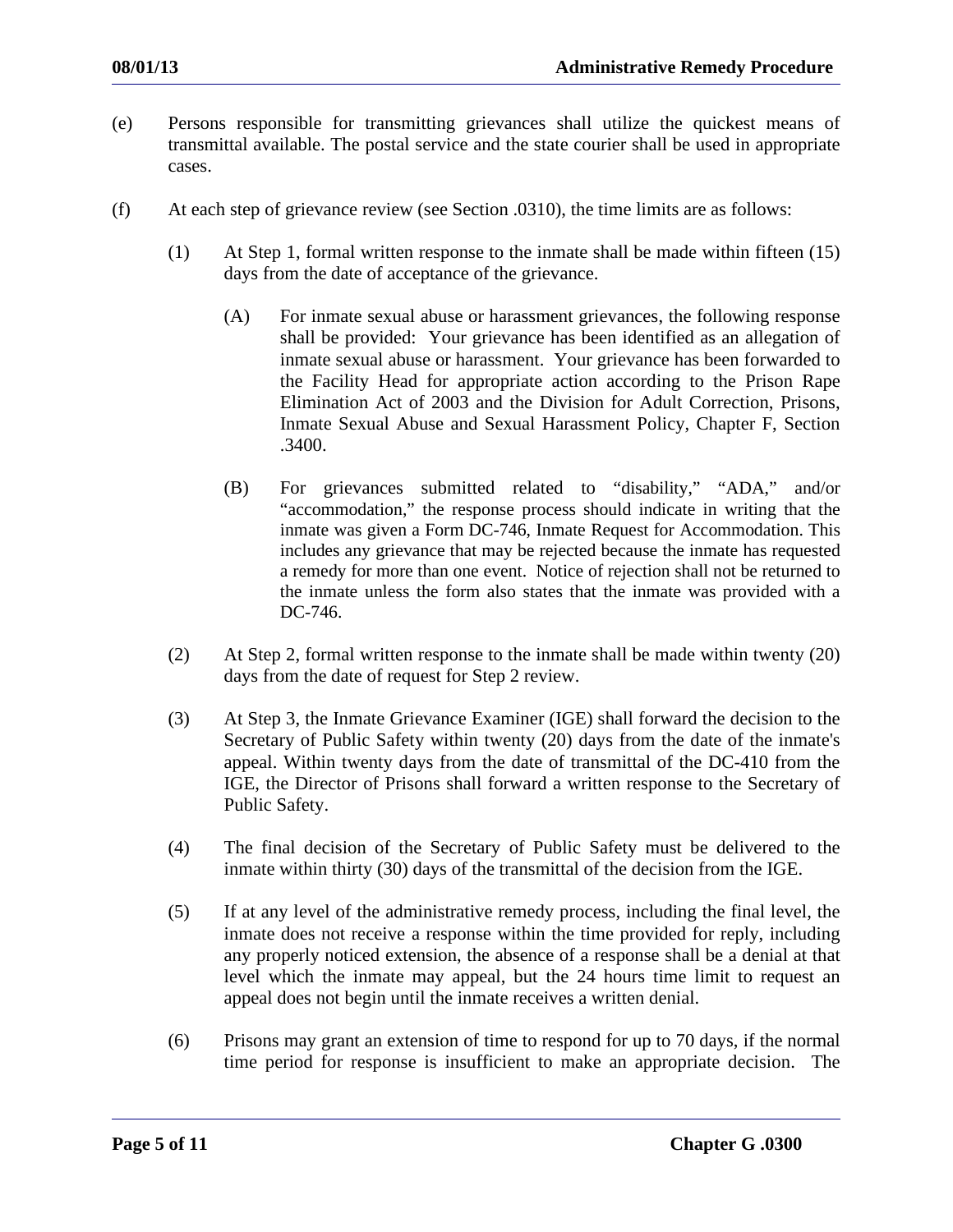- (e) Persons responsible for transmitting grievances shall utilize the quickest means of transmittal available. The postal service and the state courier shall be used in appropriate cases.
- (f) At each step of grievance review (see Section .0310), the time limits are as follows:
	- (1) At Step 1, formal written response to the inmate shall be made within fifteen (15) days from the date of acceptance of the grievance.
		- (A) For inmate sexual abuse or harassment grievances, the following response shall be provided: Your grievance has been identified as an allegation of inmate sexual abuse or harassment. Your grievance has been forwarded to the Facility Head for appropriate action according to the Prison Rape Elimination Act of 2003 and the Division for Adult Correction, Prisons, Inmate Sexual Abuse and Sexual Harassment Policy, Chapter F, Section .3400.
		- (B) For grievances submitted related to "disability," "ADA," and/or "accommodation," the response process should indicate in writing that the inmate was given a Form DC-746, Inmate Request for Accommodation. This includes any grievance that may be rejected because the inmate has requested a remedy for more than one event. Notice of rejection shall not be returned to the inmate unless the form also states that the inmate was provided with a DC-746.
	- (2) At Step 2, formal written response to the inmate shall be made within twenty (20) days from the date of request for Step 2 review.
	- (3) At Step 3, the Inmate Grievance Examiner (IGE) shall forward the decision to the Secretary of Public Safety within twenty (20) days from the date of the inmate's appeal. Within twenty days from the date of transmittal of the DC-410 from the IGE, the Director of Prisons shall forward a written response to the Secretary of Public Safety.
	- (4) The final decision of the Secretary of Public Safety must be delivered to the inmate within thirty (30) days of the transmittal of the decision from the IGE.
	- (5) If at any level of the administrative remedy process, including the final level, the inmate does not receive a response within the time provided for reply, including any properly noticed extension, the absence of a response shall be a denial at that level which the inmate may appeal, but the 24 hours time limit to request an appeal does not begin until the inmate receives a written denial.
	- (6) Prisons may grant an extension of time to respond for up to 70 days, if the normal time period for response is insufficient to make an appropriate decision. The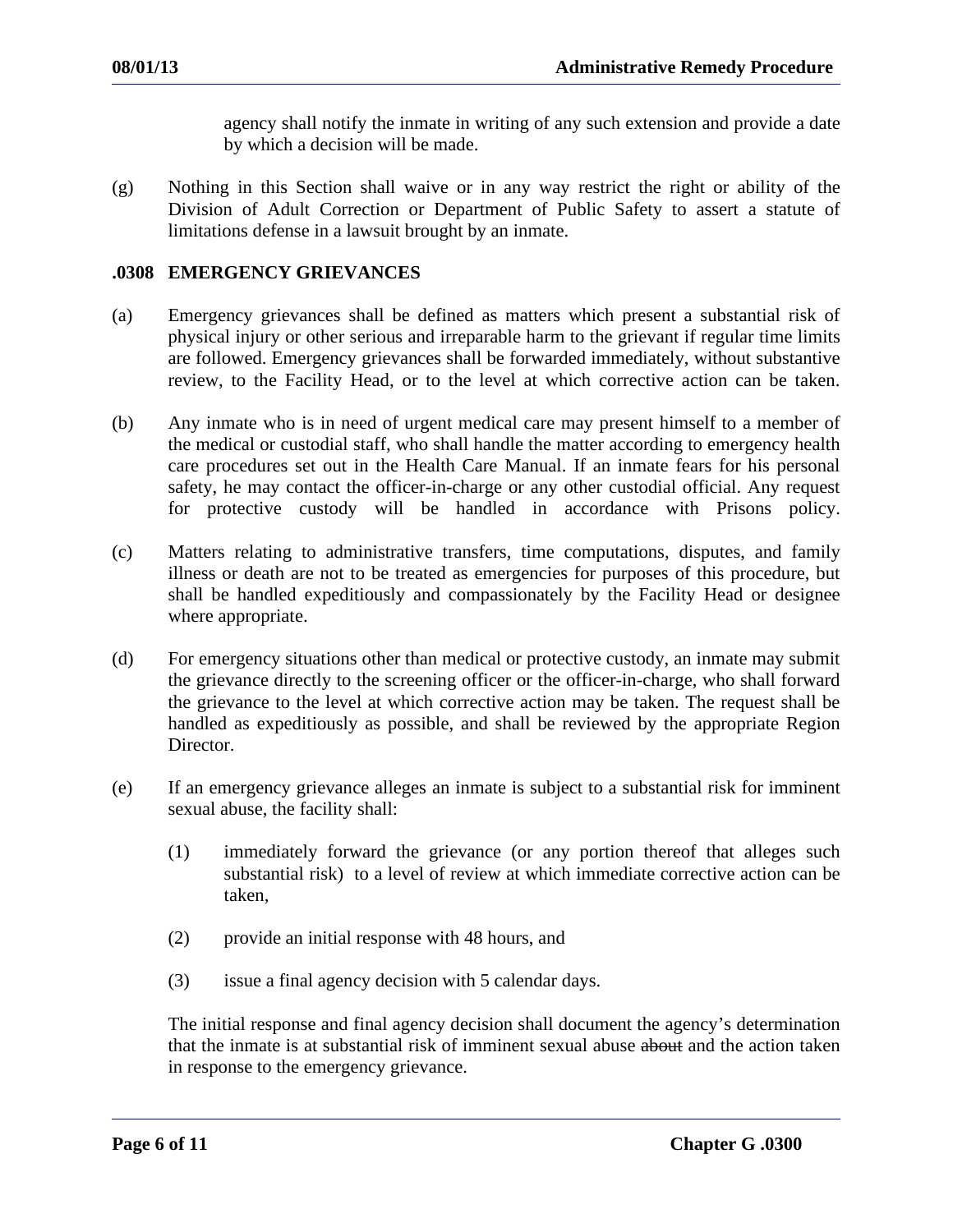agency shall notify the inmate in writing of any such extension and provide a date by which a decision will be made.

(g) Nothing in this Section shall waive or in any way restrict the right or ability of the Division of Adult Correction or Department of Public Safety to assert a statute of limitations defense in a lawsuit brought by an inmate.

### **.0308 EMERGENCY GRIEVANCES**

- (a) Emergency grievances shall be defined as matters which present a substantial risk of physical injury or other serious and irreparable harm to the grievant if regular time limits are followed. Emergency grievances shall be forwarded immediately, without substantive review, to the Facility Head, or to the level at which corrective action can be taken.
- (b) Any inmate who is in need of urgent medical care may present himself to a member of the medical or custodial staff, who shall handle the matter according to emergency health care procedures set out in the Health Care Manual. If an inmate fears for his personal safety, he may contact the officer-in-charge or any other custodial official. Any request for protective custody will be handled in accordance with Prisons policy.
- (c) Matters relating to administrative transfers, time computations, disputes, and family illness or death are not to be treated as emergencies for purposes of this procedure, but shall be handled expeditiously and compassionately by the Facility Head or designee where appropriate.
- (d) For emergency situations other than medical or protective custody, an inmate may submit the grievance directly to the screening officer or the officer-in-charge, who shall forward the grievance to the level at which corrective action may be taken. The request shall be handled as expeditiously as possible, and shall be reviewed by the appropriate Region Director.
- (e) If an emergency grievance alleges an inmate is subject to a substantial risk for imminent sexual abuse, the facility shall:
	- (1) immediately forward the grievance (or any portion thereof that alleges such substantial risk) to a level of review at which immediate corrective action can be taken,
	- (2) provide an initial response with 48 hours, and
	- (3) issue a final agency decision with 5 calendar days.

The initial response and final agency decision shall document the agency's determination that the inmate is at substantial risk of imminent sexual abuse about and the action taken in response to the emergency grievance.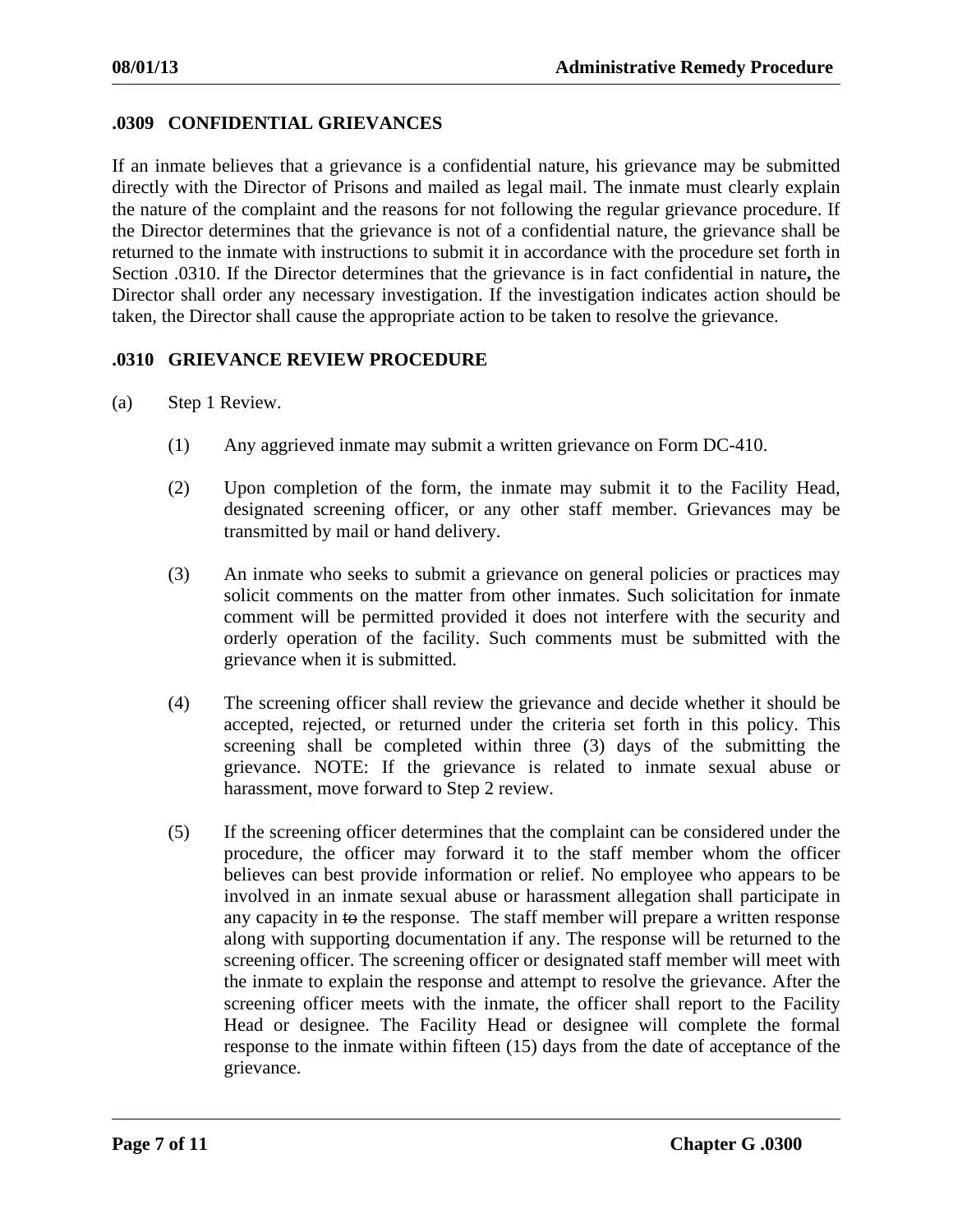## **.0309 CONFIDENTIAL GRIEVANCES**

If an inmate believes that a grievance is a confidential nature, his grievance may be submitted directly with the Director of Prisons and mailed as legal mail. The inmate must clearly explain the nature of the complaint and the reasons for not following the regular grievance procedure. If the Director determines that the grievance is not of a confidential nature, the grievance shall be returned to the inmate with instructions to submit it in accordance with the procedure set forth in Section .0310. If the Director determines that the grievance is in fact confidential in nature**,** the Director shall order any necessary investigation. If the investigation indicates action should be taken, the Director shall cause the appropriate action to be taken to resolve the grievance.

## **.0310 GRIEVANCE REVIEW PROCEDURE**

- (a) Step 1 Review.
	- (1) Any aggrieved inmate may submit a written grievance on Form DC-410.
	- (2) Upon completion of the form, the inmate may submit it to the Facility Head, designated screening officer, or any other staff member. Grievances may be transmitted by mail or hand delivery.
	- (3) An inmate who seeks to submit a grievance on general policies or practices may solicit comments on the matter from other inmates. Such solicitation for inmate comment will be permitted provided it does not interfere with the security and orderly operation of the facility. Such comments must be submitted with the grievance when it is submitted.
	- (4) The screening officer shall review the grievance and decide whether it should be accepted, rejected, or returned under the criteria set forth in this policy. This screening shall be completed within three (3) days of the submitting the grievance. NOTE: If the grievance is related to inmate sexual abuse or harassment, move forward to Step 2 review.
	- (5) If the screening officer determines that the complaint can be considered under the procedure, the officer may forward it to the staff member whom the officer believes can best provide information or relief. No employee who appears to be involved in an inmate sexual abuse or harassment allegation shall participate in any capacity in to the response. The staff member will prepare a written response along with supporting documentation if any. The response will be returned to the screening officer. The screening officer or designated staff member will meet with the inmate to explain the response and attempt to resolve the grievance. After the screening officer meets with the inmate, the officer shall report to the Facility Head or designee. The Facility Head or designee will complete the formal response to the inmate within fifteen (15) days from the date of acceptance of the grievance.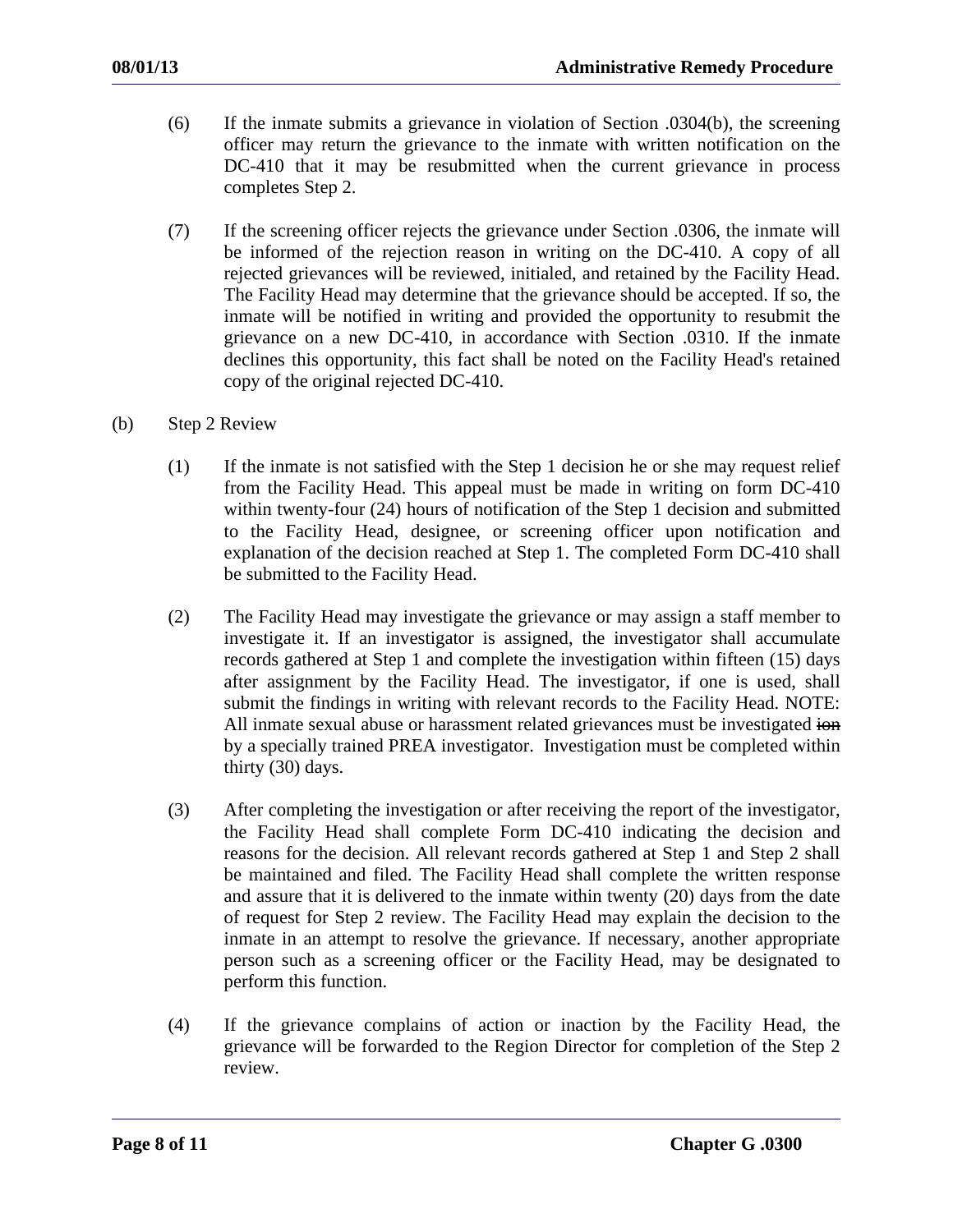- (6) If the inmate submits a grievance in violation of Section .0304(b), the screening officer may return the grievance to the inmate with written notification on the DC-410 that it may be resubmitted when the current grievance in process completes Step 2.
- (7) If the screening officer rejects the grievance under Section .0306, the inmate will be informed of the rejection reason in writing on the DC-410. A copy of all rejected grievances will be reviewed, initialed, and retained by the Facility Head. The Facility Head may determine that the grievance should be accepted. If so, the inmate will be notified in writing and provided the opportunity to resubmit the grievance on a new DC-410, in accordance with Section .0310. If the inmate declines this opportunity, this fact shall be noted on the Facility Head's retained copy of the original rejected DC-410.
- (b) Step 2 Review
	- (1) If the inmate is not satisfied with the Step 1 decision he or she may request relief from the Facility Head. This appeal must be made in writing on form DC-410 within twenty-four (24) hours of notification of the Step 1 decision and submitted to the Facility Head, designee, or screening officer upon notification and explanation of the decision reached at Step 1. The completed Form DC-410 shall be submitted to the Facility Head.
	- (2) The Facility Head may investigate the grievance or may assign a staff member to investigate it. If an investigator is assigned, the investigator shall accumulate records gathered at Step 1 and complete the investigation within fifteen (15) days after assignment by the Facility Head. The investigator, if one is used, shall submit the findings in writing with relevant records to the Facility Head. NOTE: All inmate sexual abuse or harassment related grievances must be investigated ion by a specially trained PREA investigator. Investigation must be completed within thirty (30) days.
	- (3) After completing the investigation or after receiving the report of the investigator, the Facility Head shall complete Form DC-410 indicating the decision and reasons for the decision. All relevant records gathered at Step 1 and Step 2 shall be maintained and filed. The Facility Head shall complete the written response and assure that it is delivered to the inmate within twenty (20) days from the date of request for Step 2 review. The Facility Head may explain the decision to the inmate in an attempt to resolve the grievance. If necessary, another appropriate person such as a screening officer or the Facility Head, may be designated to perform this function.
	- (4) If the grievance complains of action or inaction by the Facility Head, the grievance will be forwarded to the Region Director for completion of the Step 2 review.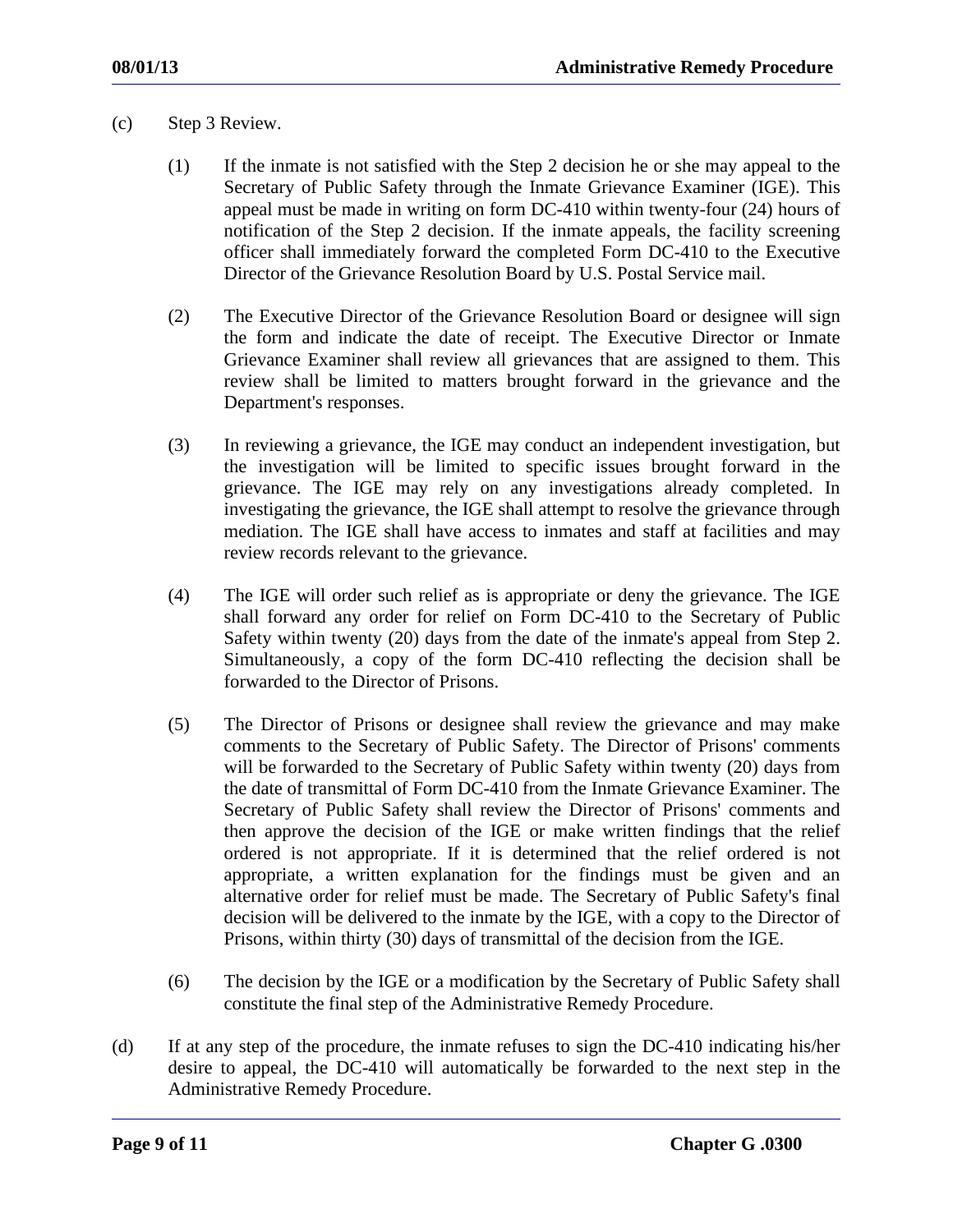- (c) Step 3 Review.
	- (1) If the inmate is not satisfied with the Step 2 decision he or she may appeal to the Secretary of Public Safety through the Inmate Grievance Examiner (IGE). This appeal must be made in writing on form DC-410 within twenty-four (24) hours of notification of the Step 2 decision. If the inmate appeals, the facility screening officer shall immediately forward the completed Form DC-410 to the Executive Director of the Grievance Resolution Board by U.S. Postal Service mail.
	- (2) The Executive Director of the Grievance Resolution Board or designee will sign the form and indicate the date of receipt. The Executive Director or Inmate Grievance Examiner shall review all grievances that are assigned to them. This review shall be limited to matters brought forward in the grievance and the Department's responses.
	- (3) In reviewing a grievance, the IGE may conduct an independent investigation, but the investigation will be limited to specific issues brought forward in the grievance. The IGE may rely on any investigations already completed. In investigating the grievance, the IGE shall attempt to resolve the grievance through mediation. The IGE shall have access to inmates and staff at facilities and may review records relevant to the grievance.
	- (4) The IGE will order such relief as is appropriate or deny the grievance. The IGE shall forward any order for relief on Form DC-410 to the Secretary of Public Safety within twenty (20) days from the date of the inmate's appeal from Step 2. Simultaneously, a copy of the form DC-410 reflecting the decision shall be forwarded to the Director of Prisons.
	- (5) The Director of Prisons or designee shall review the grievance and may make comments to the Secretary of Public Safety. The Director of Prisons' comments will be forwarded to the Secretary of Public Safety within twenty (20) days from the date of transmittal of Form DC-410 from the Inmate Grievance Examiner. The Secretary of Public Safety shall review the Director of Prisons' comments and then approve the decision of the IGE or make written findings that the relief ordered is not appropriate. If it is determined that the relief ordered is not appropriate, a written explanation for the findings must be given and an alternative order for relief must be made. The Secretary of Public Safety's final decision will be delivered to the inmate by the IGE, with a copy to the Director of Prisons, within thirty (30) days of transmittal of the decision from the IGE.
	- (6) The decision by the IGE or a modification by the Secretary of Public Safety shall constitute the final step of the Administrative Remedy Procedure.
- (d) If at any step of the procedure, the inmate refuses to sign the DC-410 indicating his/her desire to appeal, the DC-410 will automatically be forwarded to the next step in the Administrative Remedy Procedure.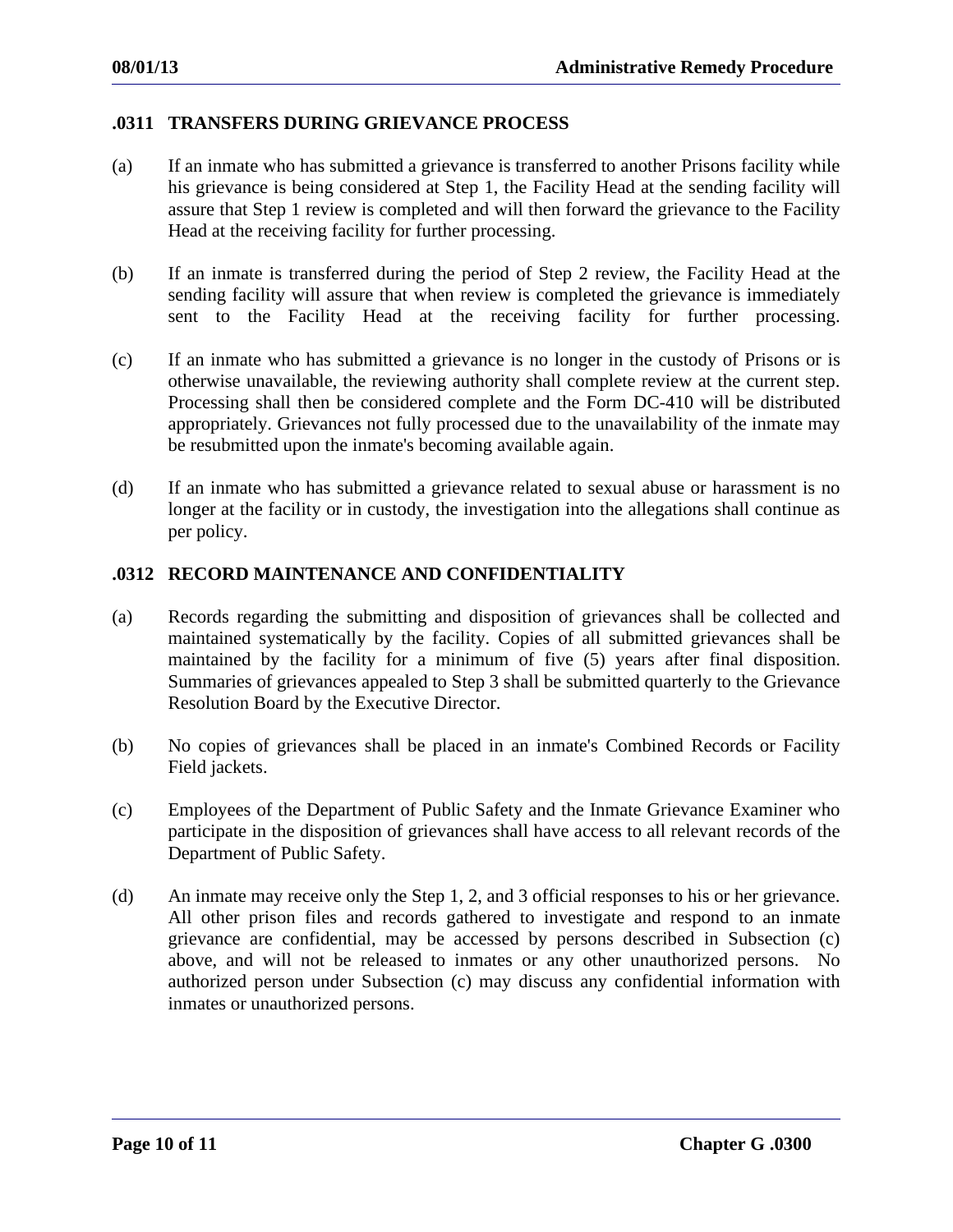## **.0311 TRANSFERS DURING GRIEVANCE PROCESS**

- (a) If an inmate who has submitted a grievance is transferred to another Prisons facility while his grievance is being considered at Step 1, the Facility Head at the sending facility will assure that Step 1 review is completed and will then forward the grievance to the Facility Head at the receiving facility for further processing.
- (b) If an inmate is transferred during the period of Step 2 review, the Facility Head at the sending facility will assure that when review is completed the grievance is immediately sent to the Facility Head at the receiving facility for further processing.
- (c) If an inmate who has submitted a grievance is no longer in the custody of Prisons or is otherwise unavailable, the reviewing authority shall complete review at the current step. Processing shall then be considered complete and the Form DC-410 will be distributed appropriately. Grievances not fully processed due to the unavailability of the inmate may be resubmitted upon the inmate's becoming available again.
- (d) If an inmate who has submitted a grievance related to sexual abuse or harassment is no longer at the facility or in custody, the investigation into the allegations shall continue as per policy.

## **.0312 RECORD MAINTENANCE AND CONFIDENTIALITY**

- (a) Records regarding the submitting and disposition of grievances shall be collected and maintained systematically by the facility. Copies of all submitted grievances shall be maintained by the facility for a minimum of five (5) years after final disposition. Summaries of grievances appealed to Step 3 shall be submitted quarterly to the Grievance Resolution Board by the Executive Director.
- (b) No copies of grievances shall be placed in an inmate's Combined Records or Facility Field jackets.
- (c) Employees of the Department of Public Safety and the Inmate Grievance Examiner who participate in the disposition of grievances shall have access to all relevant records of the Department of Public Safety.
- (d) An inmate may receive only the Step 1, 2, and 3 official responses to his or her grievance. All other prison files and records gathered to investigate and respond to an inmate grievance are confidential, may be accessed by persons described in Subsection (c) above, and will not be released to inmates or any other unauthorized persons. No authorized person under Subsection (c) may discuss any confidential information with inmates or unauthorized persons.